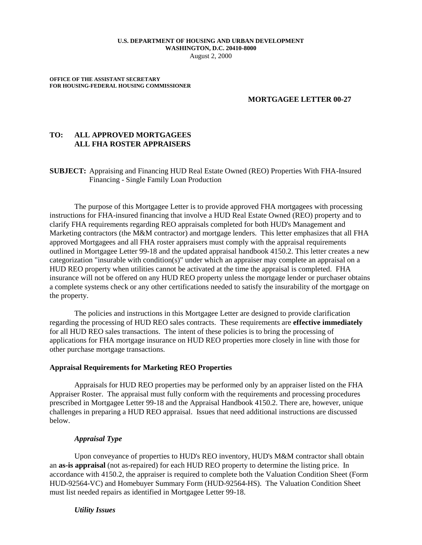#### **U.S. DEPARTMENT OF HOUSING AND URBAN DEVELOPMENT WASHINGTON, D.C. 20410-8000** August 2, 2000

**OFFICE OF THE ASSISTANT SECRETARY FOR HOUSING-FEDERAL HOUSING COMMISSIONER**

### **MORTGAGEE LETTER 00-27**

# **TO: ALL APPROVED MORTGAGEES ALL FHA ROSTER APPRAISERS**

**SUBJECT:** Appraising and Financing HUD Real Estate Owned (REO) Properties With FHA-Insured Financing - Single Family Loan Production

The purpose of this Mortgagee Letter is to provide approved FHA mortgagees with processing instructions for FHA-insured financing that involve a HUD Real Estate Owned (REO) property and to clarify FHA requirements regarding REO appraisals completed for both HUD's Management and Marketing contractors (the M&M contractor) and mortgage lenders. This letter emphasizes that all FHA approved Mortgagees and all FHA roster appraisers must comply with the appraisal requirements outlined in Mortgagee Letter 99-18 and the updated appraisal handbook 4150.2. This letter creates a new categorization "insurable with condition(s)" under which an appraiser may complete an appraisal on a HUD REO property when utilities cannot be activated at the time the appraisal is completed. FHA insurance will not be offered on any HUD REO property unless the mortgage lender or purchaser obtains a complete systems check or any other certifications needed to satisfy the insurability of the mortgage on the property.

The policies and instructions in this Mortgagee Letter are designed to provide clarification regarding the processing of HUD REO sales contracts. These requirements are **effective immediately**  for all HUD REO sales transactions. The intent of these policies is to bring the processing of applications for FHA mortgage insurance on HUD REO properties more closely in line with those for other purchase mortgage transactions.

### **Appraisal Requirements for Marketing REO Properties**

Appraisals for HUD REO properties may be performed only by an appraiser listed on the FHA Appraiser Roster. The appraisal must fully conform with the requirements and processing procedures prescribed in Mortgagee Letter 99-18 and the Appraisal Handbook 4150.2. There are, however, unique challenges in preparing a HUD REO appraisal. Issues that need additional instructions are discussed below.

## *Appraisal Type*

Upon conveyance of properties to HUD's REO inventory, HUD's M&M contractor shall obtain an **as-is appraisal** (not as-repaired) for each HUD REO property to determine the listing price. In accordance with 4150.2, the appraiser is required to complete both the Valuation Condition Sheet (Form HUD-92564-VC) and Homebuyer Summary Form (HUD-92564-HS). The Valuation Condition Sheet must list needed repairs as identified in Mortgagee Letter 99-18.

*Utility Issues*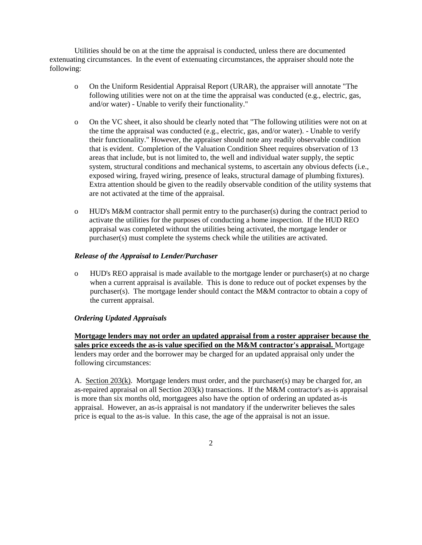Utilities should be on at the time the appraisal is conducted, unless there are documented extenuating circumstances. In the event of extenuating circumstances, the appraiser should note the following:

- o On the Uniform Residential Appraisal Report (URAR), the appraiser will annotate "The following utilities were not on at the time the appraisal was conducted (e.g., electric, gas, and/or water) - Unable to verify their functionality."
- o On the VC sheet, it also should be clearly noted that "The following utilities were not on at the time the appraisal was conducted (e.g., electric, gas, and/or water). - Unable to verify their functionality." However, the appraiser should note any readily observable condition that is evident. Completion of the Valuation Condition Sheet requires observation of 13 areas that include, but is not limited to, the well and individual water supply, the septic system, structural conditions and mechanical systems, to ascertain any obvious defects (i.e., exposed wiring, frayed wiring, presence of leaks, structural damage of plumbing fixtures). Extra attention should be given to the readily observable condition of the utility systems that are not activated at the time of the appraisal.
- o HUD's M&M contractor shall permit entry to the purchaser(s) during the contract period to activate the utilities for the purposes of conducting a home inspection. If the HUD REO appraisal was completed without the utilities being activated, the mortgage lender or purchaser(s) must complete the systems check while the utilities are activated.

## *Release of the Appraisal to Lender/Purchaser*

o HUD's REO appraisal is made available to the mortgage lender or purchaser(s) at no charge when a current appraisal is available. This is done to reduce out of pocket expenses by the purchaser(s). The mortgage lender should contact the M&M contractor to obtain a copy of the current appraisal.

# *Ordering Updated Appraisals*

**Mortgage lenders may not order an updated appraisal from a roster appraiser because the sales price exceeds the as-is value specified on the M&M contractor's appraisal.** Mortgage lenders may order and the borrower may be charged for an updated appraisal only under the following circumstances:

A. Section 203(k). Mortgage lenders must order, and the purchaser(s) may be charged for, an as-repaired appraisal on all Section 203(k) transactions. If the M&M contractor's as-is appraisal is more than six months old, mortgagees also have the option of ordering an updated as-is appraisal. However, an as-is appraisal is not mandatory if the underwriter believes the sales price is equal to the as-is value. In this case, the age of the appraisal is not an issue.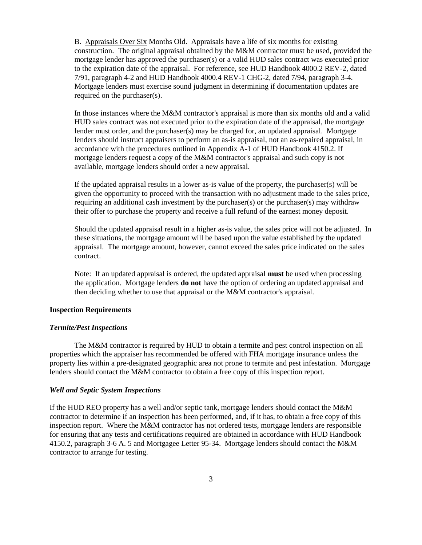B. Appraisals Over Six Months Old. Appraisals have a life of six months for existing construction. The original appraisal obtained by the  $M\&M$  contractor must be used, provided the mortgage lender has approved the purchaser(s) or a valid HUD sales contract was executed prior to the expiration date of the appraisal. For reference, see HUD Handbook 4000.2 REV-2, dated 7/91, paragraph 4-2 and HUD Handbook 4000.4 REV-1 CHG-2, dated 7/94, paragraph 3-4. Mortgage lenders must exercise sound judgment in determining if documentation updates are required on the purchaser(s).

In those instances where the M&M contractor's appraisal is more than six months old and a valid HUD sales contract was not executed prior to the expiration date of the appraisal, the mortgage lender must order, and the purchaser(s) may be charged for, an updated appraisal. Mortgage lenders should instruct appraisers to perform an as-is appraisal, not an as-repaired appraisal, in accordance with the procedures outlined in Appendix A-1 of HUD Handbook 4150.2. If mortgage lenders request a copy of the M&M contractor's appraisal and such copy is not available, mortgage lenders should order a new appraisal.

If the updated appraisal results in a lower as-is value of the property, the purchaser(s) will be given the opportunity to proceed with the transaction with no adjustment made to the sales price, requiring an additional cash investment by the purchaser(s) or the purchaser(s) may withdraw their offer to purchase the property and receive a full refund of the earnest money deposit.

Should the updated appraisal result in a higher as-is value, the sales price will not be adjusted. In these situations, the mortgage amount will be based upon the value established by the updated appraisal. The mortgage amount, however, cannot exceed the sales price indicated on the sales contract.

Note: If an updated appraisal is ordered, the updated appraisal **must** be used when processing the application. Mortgage lenders **do not** have the option of ordering an updated appraisal and then deciding whether to use that appraisal or the M&M contractor's appraisal.

### **Inspection Requirements**

#### *Termite/Pest Inspections*

The M&M contractor is required by HUD to obtain a termite and pest control inspection on all properties which the appraiser has recommended be offered with FHA mortgage insurance unless the property lies within a pre-designated geographic area not prone to termite and pest infestation. Mortgage lenders should contact the M&M contractor to obtain a free copy of this inspection report.

## *Well and Septic System Inspections*

If the HUD REO property has a well and/or septic tank, mortgage lenders should contact the M&M contractor to determine if an inspection has been performed, and, if it has, to obtain a free copy of this inspection report. Where the M&M contractor has not ordered tests, mortgage lenders are responsible for ensuring that any tests and certifications required are obtained in accordance with HUD Handbook 4150.2, paragraph 3-6 A. 5 and Mortgagee Letter 95-34. Mortgage lenders should contact the M&M contractor to arrange for testing.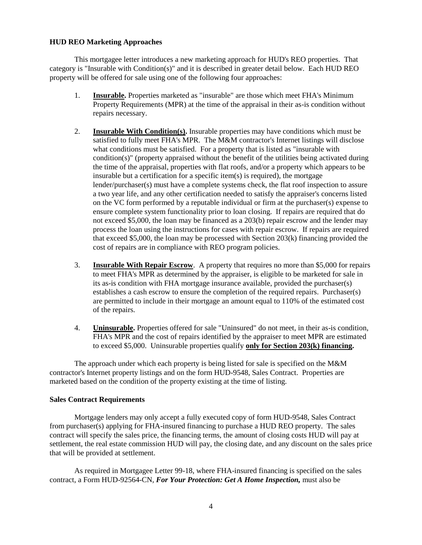# **HUD REO Marketing Approaches**

This mortgagee letter introduces a new marketing approach for HUD's REO properties. That category is "Insurable with Condition(s)" and it is described in greater detail below. Each HUD REO property will be offered for sale using one of the following four approaches:

- 1. **Insurable.** Properties marketed as "insurable" are those which meet FHA's Minimum Property Requirements (MPR) at the time of the appraisal in their as-is condition without repairs necessary.
- 2. **Insurable With Condition(s).** Insurable properties may have conditions which must be satisfied to fully meet FHA's MPR. The M&M contractor's Internet listings will disclose what conditions must be satisfied. For a property that is listed as "insurable with  $condition(s)$ " (property appraised without the benefit of the utilities being activated during the time of the appraisal, properties with flat roofs, and/or a property which appears to be insurable but a certification for a specific item(s) is required), the mortgage lender/purchaser(s) must have a complete systems check, the flat roof inspection to assure a two year life, and any other certification needed to satisfy the appraiser's concerns listed on the VC form performed by a reputable individual or firm at the purchaser(s) expense to ensure complete system functionality prior to loan closing. If repairs are required that do not exceed \$5,000, the loan may be financed as a 203(b) repair escrow and the lender may process the loan using the instructions for cases with repair escrow. If repairs are required that exceed \$5,000, the loan may be processed with Section 203(k) financing provided the cost of repairs are in compliance with REO program policies.
- 3. **Insurable With Repair Escrow**. A property that requires no more than \$5,000 for repairs to meet FHA's MPR as determined by the appraiser, is eligible to be marketed for sale in its as-is condition with FHA mortgage insurance available, provided the purchaser(s) establishes a cash escrow to ensure the completion of the required repairs. Purchaser(s) are permitted to include in their mortgage an amount equal to 110% of the estimated cost of the repairs.
- 4. **Uninsurable.** Properties offered for sale "Uninsured" do not meet, in their as-is condition, FHA's MPR and the cost of repairs identified by the appraiser to meet MPR are estimated to exceed \$5,000. Uninsurable properties qualify **only for Section 203(k) financing.**

The approach under which each property is being listed for sale is specified on the M&M contractor's Internet property listings and on the form HUD-9548, Sales Contract. Properties are marketed based on the condition of the property existing at the time of listing.

### **Sales Contract Requirements**

Mortgage lenders may only accept a fully executed copy of form HUD-9548, Sales Contract from purchaser(s) applying for FHA-insured financing to purchase a HUD REO property. The sales contract will specify the sales price, the financing terms, the amount of closing costs HUD will pay at settlement, the real estate commission HUD will pay, the closing date, and any discount on the sales price that will be provided at settlement.

As required in Mortgagee Letter 99-18, where FHA-insured financing is specified on the sales contract, a Form HUD-92564-CN, *For Your Protection: Get A Home Inspection,* must also be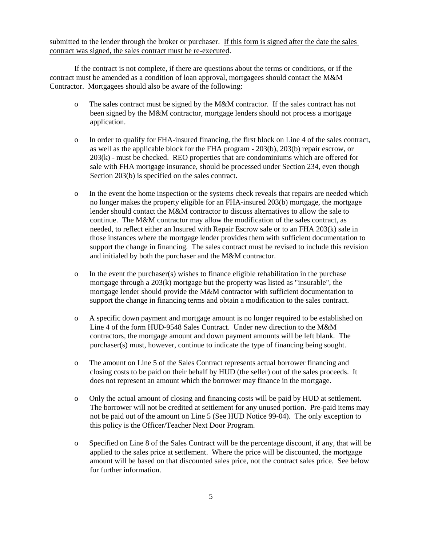submitted to the lender through the broker or purchaser. If this form is signed after the date the sales contract was signed, the sales contract must be re-executed.

If the contract is not complete, if there are questions about the terms or conditions, or if the contract must be amended as a condition of loan approval, mortgagees should contact the M&M Contractor. Mortgagees should also be aware of the following:

- o The sales contract must be signed by the M&M contractor. If the sales contract has not been signed by the M&M contractor, mortgage lenders should not process a mortgage application.
- o In order to qualify for FHA-insured financing, the first block on Line 4 of the sales contract, as well as the applicable block for the FHA program - 203(b), 203(b) repair escrow, or 203(k) - must be checked. REO properties that are condominiums which are offered for sale with FHA mortgage insurance, should be processed under Section 234, even though Section 203(b) is specified on the sales contract.
- o In the event the home inspection or the systems check reveals that repairs are needed which no longer makes the property eligible for an FHA-insured 203(b) mortgage, the mortgage lender should contact the M&M contractor to discuss alternatives to allow the sale to continue. The M&M contractor may allow the modification of the sales contract, as needed, to reflect either an Insured with Repair Escrow sale or to an FHA 203(k) sale in those instances where the mortgage lender provides them with sufficient documentation to support the change in financing. The sales contract must be revised to include this revision and initialed by both the purchaser and the M&M contractor.
- o In the event the purchaser(s) wishes to finance eligible rehabilitation in the purchase mortgage through a 203(k) mortgage but the property was listed as "insurable", the mortgage lender should provide the M&M contractor with sufficient documentation to support the change in financing terms and obtain a modification to the sales contract.
- o A specific down payment and mortgage amount is no longer required to be established on Line 4 of the form HUD-9548 Sales Contract. Under new direction to the M&M contractors, the mortgage amount and down payment amounts will be left blank. The purchaser(s) must, however, continue to indicate the type of financing being sought.
- o The amount on Line 5 of the Sales Contract represents actual borrower financing and closing costs to be paid on their behalf by HUD (the seller) out of the sales proceeds. It does not represent an amount which the borrower may finance in the mortgage.
- o Only the actual amount of closing and financing costs will be paid by HUD at settlement. The borrower will not be credited at settlement for any unused portion. Pre-paid items may not be paid out of the amount on Line 5 (See HUD Notice 99-04). The only exception to this policy is the Officer/Teacher Next Door Program.
- o Specified on Line 8 of the Sales Contract will be the percentage discount, if any, that will be applied to the sales price at settlement. Where the price will be discounted, the mortgage amount will be based on that discounted sales price, not the contract sales price. See below for further information.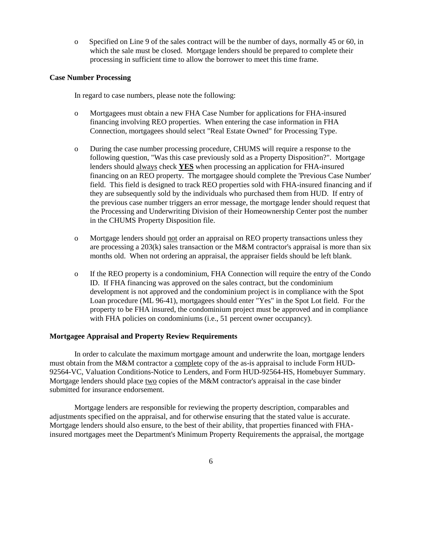o Specified on Line 9 of the sales contract will be the number of days, normally 45 or 60, in which the sale must be closed. Mortgage lenders should be prepared to complete their processing in sufficient time to allow the borrower to meet this time frame.

## **Case Number Processing**

In regard to case numbers, please note the following:

- o Mortgagees must obtain a new FHA Case Number for applications for FHA-insured financing involving REO properties. When entering the case information in FHA Connection, mortgagees should select "Real Estate Owned" for Processing Type.
- o During the case number processing procedure, CHUMS will require a response to the following question, "Was this case previously sold as a Property Disposition?". Mortgage lenders should always check **YES** when processing an application for FHA-insured financing on an REO property. The mortgagee should complete the 'Previous Case Number' field. This field is designed to track REO properties sold with FHA-insured financing and if they are subsequently sold by the individuals who purchased them from HUD. If entry of the previous case number triggers an error message, the mortgage lender should request that the Processing and Underwriting Division of their Homeownership Center post the number in the CHUMS Property Disposition file.
- o Mortgage lenders should not order an appraisal on REO property transactions unless they are processing a  $203(k)$  sales transaction or the M&M contractor's appraisal is more than six months old. When not ordering an appraisal, the appraiser fields should be left blank.
- o If the REO property is a condominium, FHA Connection will require the entry of the Condo ID. If FHA financing was approved on the sales contract, but the condominium development is not approved and the condominium project is in compliance with the Spot Loan procedure (ML 96-41), mortgagees should enter "Yes" in the Spot Lot field. For the property to be FHA insured, the condominium project must be approved and in compliance with FHA policies on condominiums (i.e., 51 percent owner occupancy).

# **Mortgagee Appraisal and Property Review Requirements**

In order to calculate the maximum mortgage amount and underwrite the loan, mortgage lenders must obtain from the M&M contractor a complete copy of the as-is appraisal to include Form HUD-92564-VC, Valuation Conditions-Notice to Lenders, and Form HUD-92564-HS, Homebuyer Summary. Mortgage lenders should place two copies of the M&M contractor's appraisal in the case binder submitted for insurance endorsement.

Mortgage lenders are responsible for reviewing the property description, comparables and adjustments specified on the appraisal, and for otherwise ensuring that the stated value is accurate. Mortgage lenders should also ensure, to the best of their ability, that properties financed with FHAinsured mortgages meet the Department's Minimum Property Requirements the appraisal, the mortgage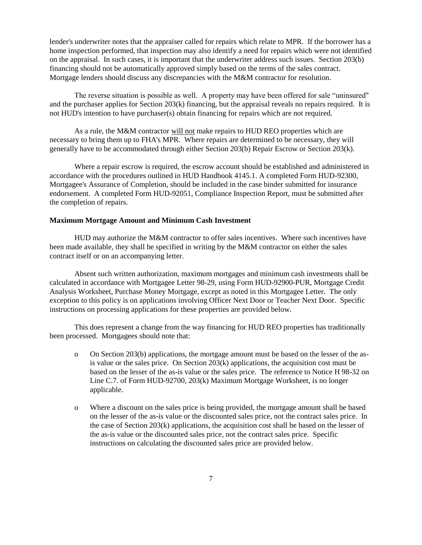lender's underwriter notes that the appraiser called for repairs which relate to MPR. If the borrower has a home inspection performed, that inspection may also identify a need for repairs which were not identified on the appraisal. In such cases, it is important that the underwriter address such issues. Section 203(b) financing should not be automatically approved simply based on the terms of the sales contract. Mortgage lenders should discuss any discrepancies with the M&M contractor for resolution.

The reverse situation is possible as well. A property may have been offered for sale "uninsured" and the purchaser applies for Section 203(k) financing, but the appraisal reveals no repairs required. It is not HUD's intention to have purchaser(s) obtain financing for repairs which are not required.

As a rule, the M&M contractor will not make repairs to HUD REO properties which are necessary to bring them up to FHA's MPR. Where repairs are determined to be necessary, they will generally have to be accommodated through either Section 203(b) Repair Escrow or Section 203(k).

Where a repair escrow is required, the escrow account should be established and administered in accordance with the procedures outlined in HUD Handbook 4145.1. A completed Form HUD-92300, Mortgagee's Assurance of Completion, should be included in the case binder submitted for insurance endorsement. A completed Form HUD-92051, Compliance Inspection Report, must be submitted after the completion of repairs.

## **Maximum Mortgage Amount and Minimum Cash Investment**

HUD may authorize the M&M contractor to offer sales incentives. Where such incentives have been made available, they shall be specified in writing by the M&M contractor on either the sales contract itself or on an accompanying letter.

Absent such written authorization, maximum mortgages and minimum cash investments shall be calculated in accordance with Mortgagee Letter 98-29, using Form HUD-92900-PUR, Mortgage Credit Analysis Worksheet, Purchase Money Mortgage, except as noted in this Mortgagee Letter. The only exception to this policy is on applications involving Officer Next Door or Teacher Next Door. Specific instructions on processing applications for these properties are provided below.

This does represent a change from the way financing for HUD REO properties has traditionally been processed. Mortgagees should note that:

- o On Section 203(b) applications, the mortgage amount must be based on the lesser of the asis value or the sales price. On Section 203(k) applications, the acquisition cost must be based on the lesser of the as-is value or the sales price. The reference to Notice H 98-32 on Line C.7. of Form HUD-92700, 203(k) Maximum Mortgage Worksheet, is no longer applicable.
- o Where a discount on the sales price is being provided, the mortgage amount shall be based on the lesser of the as-is value or the discounted sales price, not the contract sales price. In the case of Section 203(k) applications, the acquisition cost shall be based on the lesser of the as-is value or the discounted sales price, not the contract sales price. Specific instructions on calculating the discounted sales price are provided below.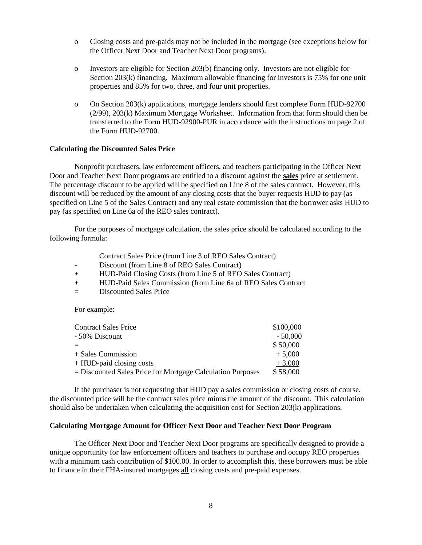- o Closing costs and pre-paids may not be included in the mortgage (see exceptions below for the Officer Next Door and Teacher Next Door programs).
- o Investors are eligible for Section 203(b) financing only. Investors are not eligible for Section 203(k) financing. Maximum allowable financing for investors is 75% for one unit properties and 85% for two, three, and four unit properties.
- o On Section 203(k) applications, mortgage lenders should first complete Form HUD-92700 (2/99), 203(k) Maximum Mortgage Worksheet. Information from that form should then be transferred to the Form HUD-92900-PUR in accordance with the instructions on page 2 of the Form HUD-92700.

#### **Calculating the Discounted Sales Price**

Nonprofit purchasers, law enforcement officers, and teachers participating in the Officer Next Door and Teacher Next Door programs are entitled to a discount against the **sales** price at settlement. The percentage discount to be applied will be specified on Line 8 of the sales contract. However, this discount will be reduced by the amount of any closing costs that the buyer requests HUD to pay (as specified on Line 5 of the Sales Contract) and any real estate commission that the borrower asks HUD to pay (as specified on Line 6a of the REO sales contract).

For the purposes of mortgage calculation, the sales price should be calculated according to the following formula:

- Contract Sales Price (from Line 3 of REO Sales Contract)
- Discount (from Line 8 of REO Sales Contract)
- + HUD-Paid Closing Costs (from Line 5 of REO Sales Contract)
- + HUD-Paid Sales Commission (from Line 6a of REO Sales Contract
- = Discounted Sales Price

For example:

| \$100,000 |
|-----------|
| $-50,000$ |
| \$50,000  |
| $+5,000$  |
| $+3,000$  |
| \$58,000  |
|           |

If the purchaser is not requesting that HUD pay a sales commission or closing costs of course, the discounted price will be the contract sales price minus the amount of the discount. This calculation should also be undertaken when calculating the acquisition cost for Section 203(k) applications.

#### **Calculating Mortgage Amount for Officer Next Door and Teacher Next Door Program**

The Officer Next Door and Teacher Next Door programs are specifically designed to provide a unique opportunity for law enforcement officers and teachers to purchase and occupy REO properties with a minimum cash contribution of \$100.00. In order to accomplish this, these borrowers must be able to finance in their FHA-insured mortgages all closing costs and pre-paid expenses.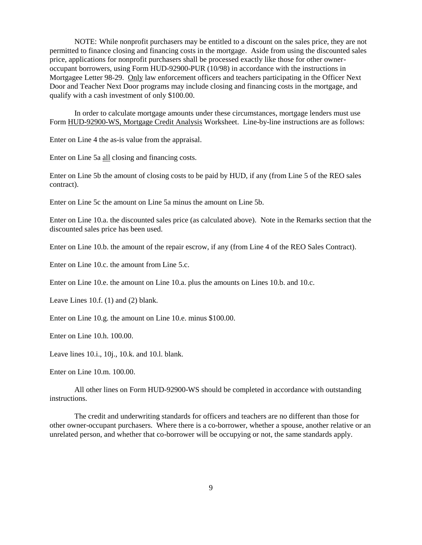NOTE: While nonprofit purchasers may be entitled to a discount on the sales price, they are not permitted to finance closing and financing costs in the mortgage. Aside from using the discounted sales price, applications for nonprofit purchasers shall be processed exactly like those for other owneroccupant borrowers, using Form HUD-92900-PUR (10/98) in accordance with the instructions in Mortgagee Letter 98-29. Only law enforcement officers and teachers participating in the Officer Next Door and Teacher Next Door programs may include closing and financing costs in the mortgage, and qualify with a cash investment of only \$100.00.

In order to calculate mortgage amounts under these circumstances, mortgage lenders must use Form HUD-92900-WS, Mortgage Credit Analysis Worksheet. Line-by-line instructions are as follows:

Enter on Line 4 the as-is value from the appraisal.

Enter on Line 5a all closing and financing costs.

Enter on Line 5b the amount of closing costs to be paid by HUD, if any (from Line 5 of the REO sales contract).

Enter on Line 5c the amount on Line 5a minus the amount on Line 5b.

Enter on Line 10.a. the discounted sales price (as calculated above). Note in the Remarks section that the discounted sales price has been used.

Enter on Line 10.b. the amount of the repair escrow, if any (from Line 4 of the REO Sales Contract).

Enter on Line 10.c. the amount from Line 5.c.

Enter on Line 10.e. the amount on Line 10.a. plus the amounts on Lines 10.b. and 10.c.

Leave Lines 10.f. (1) and (2) blank.

Enter on Line 10.g. the amount on Line 10.e. minus \$100.00.

Enter on Line 10.h. 100.00.

Leave lines 10.i., 10j., 10.k. and 10.l. blank.

Enter on Line 10.m. 100.00.

All other lines on Form HUD-92900-WS should be completed in accordance with outstanding instructions.

The credit and underwriting standards for officers and teachers are no different than those for other owner-occupant purchasers. Where there is a co-borrower, whether a spouse, another relative or an unrelated person, and whether that co-borrower will be occupying or not, the same standards apply.